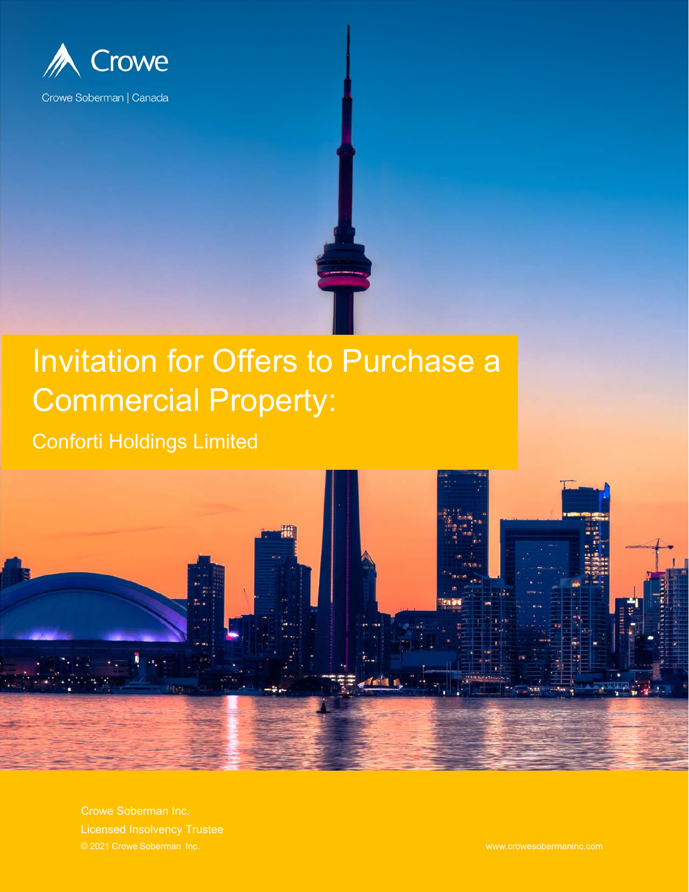

# Invitation for Offers to Purchase a Commercial Property:

Conforti Holdings Limited



Crowe Soberman Inc.